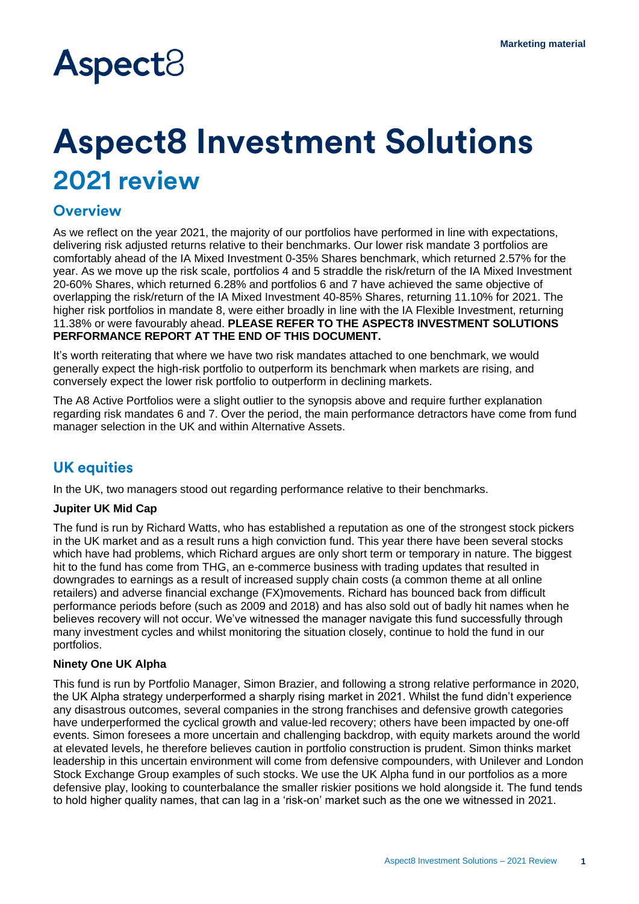# **Aspect**<sup>8</sup>

## **Aspect8 Investment Solutions 2021 review**

## **Overview**

As we reflect on the year 2021, the majority of our portfolios have performed in line with expectations, delivering risk adjusted returns relative to their benchmarks. Our lower risk mandate 3 portfolios are comfortably ahead of the IA Mixed Investment 0-35% Shares benchmark, which returned 2.57% for the year. As we move up the risk scale, portfolios 4 and 5 straddle the risk/return of the IA Mixed Investment 20-60% Shares, which returned 6.28% and portfolios 6 and 7 have achieved the same objective of overlapping the risk/return of the IA Mixed Investment 40-85% Shares, returning 11.10% for 2021. The higher risk portfolios in mandate 8, were either broadly in line with the IA Flexible Investment, returning 11.38% or were favourably ahead. **PLEASE REFER TO THE ASPECT8 INVESTMENT SOLUTIONS PERFORMANCE REPORT AT THE END OF THIS DOCUMENT.**

It's worth reiterating that where we have two risk mandates attached to one benchmark, we would generally expect the high-risk portfolio to outperform its benchmark when markets are rising, and conversely expect the lower risk portfolio to outperform in declining markets.

The A8 Active Portfolios were a slight outlier to the synopsis above and require further explanation regarding risk mandates 6 and 7. Over the period, the main performance detractors have come from fund manager selection in the UK and within Alternative Assets.

## **UK equities**

In the UK, two managers stood out regarding performance relative to their benchmarks.

#### **Jupiter UK Mid Cap**

The fund is run by Richard Watts, who has established a reputation as one of the strongest stock pickers in the UK market and as a result runs a high conviction fund. This year there have been several stocks which have had problems, which Richard argues are only short term or temporary in nature. The biggest hit to the fund has come from THG, an e-commerce business with trading updates that resulted in downgrades to earnings as a result of increased supply chain costs (a common theme at all online retailers) and adverse financial exchange (FX)movements. Richard has bounced back from difficult performance periods before (such as 2009 and 2018) and has also sold out of badly hit names when he believes recovery will not occur. We've witnessed the manager navigate this fund successfully through many investment cycles and whilst monitoring the situation closely, continue to hold the fund in our portfolios.

#### **Ninety One UK Alpha**

This fund is run by Portfolio Manager, Simon Brazier, and following a strong relative performance in 2020, the UK Alpha strategy underperformed a sharply rising market in 2021. Whilst the fund didn't experience any disastrous outcomes, several companies in the strong franchises and defensive growth categories have underperformed the cyclical growth and value-led recovery; others have been impacted by one-off events. Simon foresees a more uncertain and challenging backdrop, with equity markets around the world at elevated levels, he therefore believes caution in portfolio construction is prudent. Simon thinks market leadership in this uncertain environment will come from defensive compounders, with Unilever and London Stock Exchange Group examples of such stocks. We use the UK Alpha fund in our portfolios as a more defensive play, looking to counterbalance the smaller riskier positions we hold alongside it. The fund tends to hold higher quality names, that can lag in a 'risk-on' market such as the one we witnessed in 2021.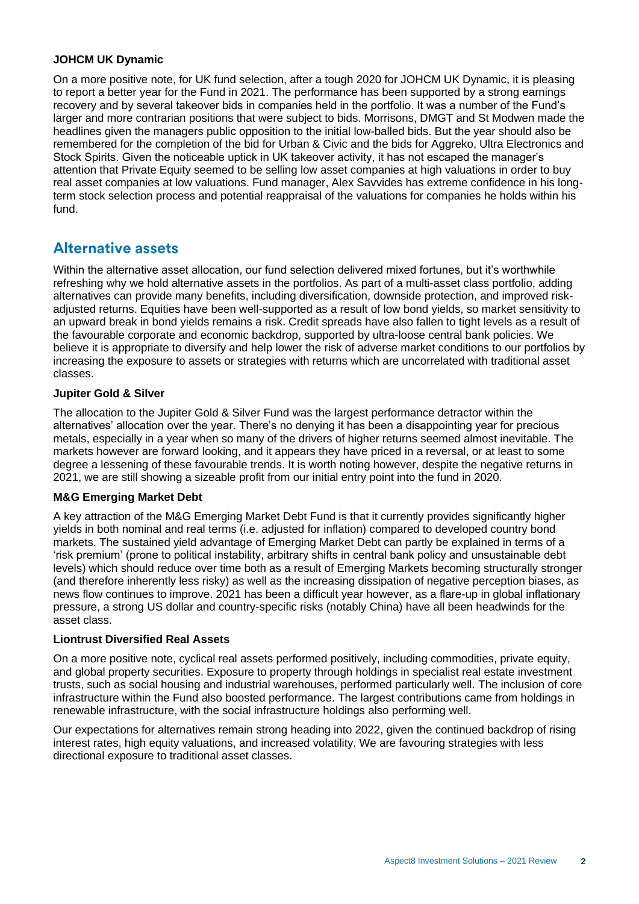#### **JOHCM UK Dynamic**

On a more positive note, for UK fund selection, after a tough 2020 for JOHCM UK Dynamic, it is pleasing to report a better year for the Fund in 2021. The performance has been supported by a strong earnings recovery and by several takeover bids in companies held in the portfolio. It was a number of the Fund's larger and more contrarian positions that were subject to bids. Morrisons, DMGT and St Modwen made the headlines given the managers public opposition to the initial low-balled bids. But the year should also be remembered for the completion of the bid for Urban & Civic and the bids for Aggreko, Ultra Electronics and Stock Spirits. Given the noticeable uptick in UK takeover activity, it has not escaped the manager's attention that Private Equity seemed to be selling low asset companies at high valuations in order to buy real asset companies at low valuations. Fund manager, Alex Savvides has extreme confidence in his longterm stock selection process and potential reappraisal of the valuations for companies he holds within his fund.

### **Alternative assets**

Within the alternative asset allocation, our fund selection delivered mixed fortunes, but it's worthwhile refreshing why we hold alternative assets in the portfolios. As part of a multi-asset class portfolio, adding alternatives can provide many benefits, including diversification, downside protection, and improved riskadjusted returns. Equities have been well-supported as a result of low bond yields, so market sensitivity to an upward break in bond yields remains a risk. Credit spreads have also fallen to tight levels as a result of the favourable corporate and economic backdrop, supported by ultra-loose central bank policies. We believe it is appropriate to diversify and help lower the risk of adverse market conditions to our portfolios by increasing the exposure to assets or strategies with returns which are uncorrelated with traditional asset classes.

#### **Jupiter Gold & Silver**

The allocation to the Jupiter Gold & Silver Fund was the largest performance detractor within the alternatives' allocation over the year. There's no denying it has been a disappointing year for precious metals, especially in a year when so many of the drivers of higher returns seemed almost inevitable. The markets however are forward looking, and it appears they have priced in a reversal, or at least to some degree a lessening of these favourable trends. It is worth noting however, despite the negative returns in 2021, we are still showing a sizeable profit from our initial entry point into the fund in 2020.

#### **M&G Emerging Market Debt**

A key attraction of the M&G Emerging Market Debt Fund is that it currently provides significantly higher yields in both nominal and real terms (i.e. adjusted for inflation) compared to developed country bond markets. The sustained yield advantage of Emerging Market Debt can partly be explained in terms of a 'risk premium' (prone to political instability, arbitrary shifts in central bank policy and unsustainable debt levels) which should reduce over time both as a result of Emerging Markets becoming structurally stronger (and therefore inherently less risky) as well as the increasing dissipation of negative perception biases, as news flow continues to improve. 2021 has been a difficult year however, as a flare-up in global inflationary pressure, a strong US dollar and country-specific risks (notably China) have all been headwinds for the asset class.

#### **Liontrust Diversified Real Assets**

On a more positive note, cyclical real assets performed positively, including commodities, private equity, and global property securities. Exposure to property through holdings in specialist real estate investment trusts, such as social housing and industrial warehouses, performed particularly well. The inclusion of core infrastructure within the Fund also boosted performance. The largest contributions came from holdings in renewable infrastructure, with the social infrastructure holdings also performing well.

Our expectations for alternatives remain strong heading into 2022, given the continued backdrop of rising interest rates, high equity valuations, and increased volatility. We are favouring strategies with less directional exposure to traditional asset classes.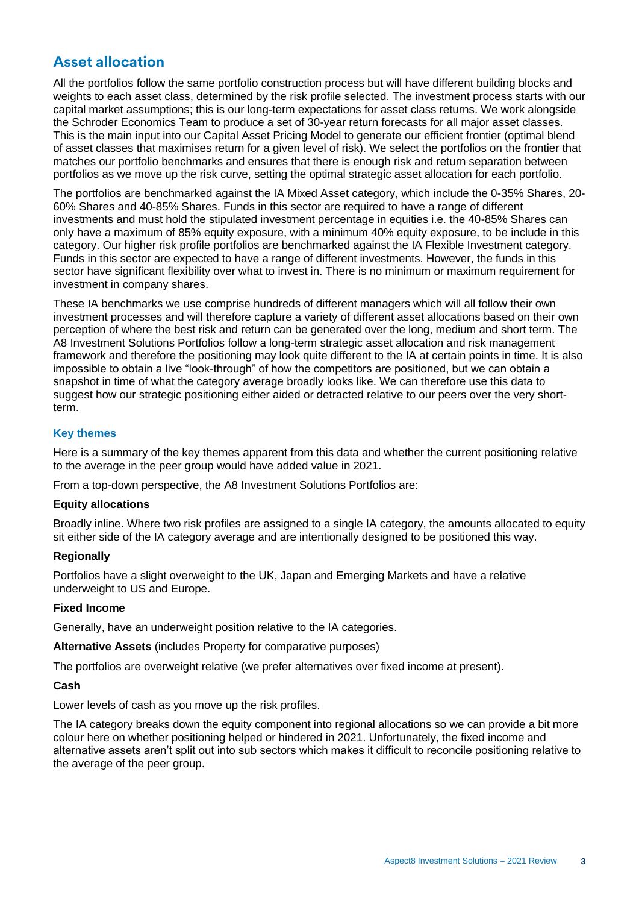## **Asset allocation**

All the portfolios follow the same portfolio construction process but will have different building blocks and weights to each asset class, determined by the risk profile selected. The investment process starts with our capital market assumptions; this is our long-term expectations for asset class returns. We work alongside the Schroder Economics Team to produce a set of 30-year return forecasts for all major asset classes. This is the main input into our Capital Asset Pricing Model to generate our efficient frontier (optimal blend of asset classes that maximises return for a given level of risk). We select the portfolios on the frontier that matches our portfolio benchmarks and ensures that there is enough risk and return separation between portfolios as we move up the risk curve, setting the optimal strategic asset allocation for each portfolio.

The portfolios are benchmarked against the IA Mixed Asset category, which include the 0-35% Shares, 20- 60% Shares and 40-85% Shares. Funds in this sector are required to have a range of different investments and must hold the stipulated investment percentage in equities i.e. the 40-85% Shares can only have a maximum of 85% equity exposure, with a minimum 40% equity exposure, to be include in this category. Our higher risk profile portfolios are benchmarked against the IA Flexible Investment category. Funds in this sector are expected to have a range of different investments. However, the funds in this sector have significant flexibility over what to invest in. There is no minimum or maximum requirement for investment in company shares.

These IA benchmarks we use comprise hundreds of different managers which will all follow their own investment processes and will therefore capture a variety of different asset allocations based on their own perception of where the best risk and return can be generated over the long, medium and short term. The A8 Investment Solutions Portfolios follow a long-term strategic asset allocation and risk management framework and therefore the positioning may look quite different to the IA at certain points in time. It is also impossible to obtain a live "look-through" of how the competitors are positioned, but we can obtain a snapshot in time of what the category average broadly looks like. We can therefore use this data to suggest how our strategic positioning either aided or detracted relative to our peers over the very shortterm.

#### **Key themes**

Here is a summary of the key themes apparent from this data and whether the current positioning relative to the average in the peer group would have added value in 2021.

From a top-down perspective, the A8 Investment Solutions Portfolios are:

#### **Equity allocations**

Broadly inline. Where two risk profiles are assigned to a single IA category, the amounts allocated to equity sit either side of the IA category average and are intentionally designed to be positioned this way.

#### **Regionally**

Portfolios have a slight overweight to the UK, Japan and Emerging Markets and have a relative underweight to US and Europe.

#### **Fixed Income**

Generally, have an underweight position relative to the IA categories.

**Alternative Assets** (includes Property for comparative purposes)

The portfolios are overweight relative (we prefer alternatives over fixed income at present).

#### **Cash**

Lower levels of cash as you move up the risk profiles.

The IA category breaks down the equity component into regional allocations so we can provide a bit more colour here on whether positioning helped or hindered in 2021. Unfortunately, the fixed income and alternative assets aren't split out into sub sectors which makes it difficult to reconcile positioning relative to the average of the peer group.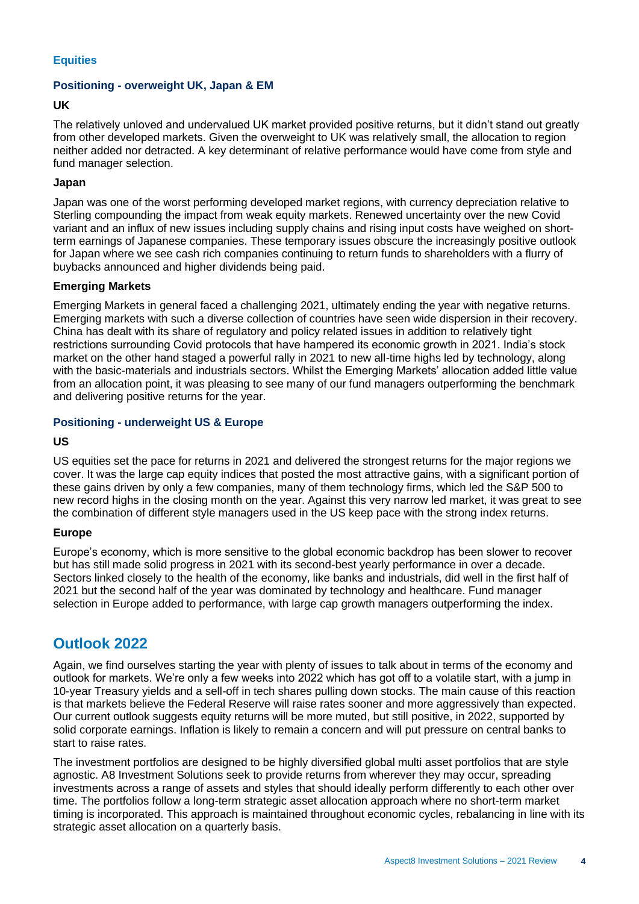#### **Equities**

#### **Positioning - overweight UK, Japan & EM**

#### **UK**

The relatively unloved and undervalued UK market provided positive returns, but it didn't stand out greatly from other developed markets. Given the overweight to UK was relatively small, the allocation to region neither added nor detracted. A key determinant of relative performance would have come from style and fund manager selection.

#### **Japan**

Japan was one of the worst performing developed market regions, with currency depreciation relative to Sterling compounding the impact from weak equity markets. Renewed uncertainty over the new Covid variant and an influx of new issues including supply chains and rising input costs have weighed on shortterm earnings of Japanese companies. These temporary issues obscure the increasingly positive outlook for Japan where we see cash rich companies continuing to return funds to shareholders with a flurry of buybacks announced and higher dividends being paid.

#### **Emerging Markets**

Emerging Markets in general faced a challenging 2021, ultimately ending the year with negative returns. Emerging markets with such a diverse collection of countries have seen wide dispersion in their recovery. China has dealt with its share of regulatory and policy related issues in addition to relatively tight restrictions surrounding Covid protocols that have hampered its economic growth in 2021. India's stock market on the other hand staged a powerful rally in 2021 to new all-time highs led by technology, along with the basic-materials and industrials sectors. Whilst the Emerging Markets' allocation added little value from an allocation point, it was pleasing to see many of our fund managers outperforming the benchmark and delivering positive returns for the year.

#### **Positioning - underweight US & Europe**

#### **US**

US equities set the pace for returns in 2021 and delivered the strongest returns for the major regions we cover. It was the large cap equity indices that posted the most attractive gains, with a significant portion of these gains driven by only a few companies, many of them technology firms, which led the S&P 500 to new record highs in the closing month on the year. Against this very narrow led market, it was great to see the combination of different style managers used in the US keep pace with the strong index returns.

#### **Europe**

Europe's economy, which is more sensitive to the global economic backdrop has been slower to recover but has still made solid progress in 2021 with its second-best yearly performance in over a decade. Sectors linked closely to the health of the economy, like banks and industrials, did well in the first half of 2021 but the second half of the year was dominated by technology and healthcare. Fund manager selection in Europe added to performance, with large cap growth managers outperforming the index.

## **Outlook 2022**

Again, we find ourselves starting the year with plenty of issues to talk about in terms of the economy and outlook for markets. We're only a few weeks into 2022 which has got off to a volatile start, with a jump in 10-year Treasury yields and a sell-off in tech shares pulling down stocks. The main cause of this reaction is that markets believe the Federal Reserve will raise rates sooner and more aggressively than expected. Our current outlook suggests equity returns will be more muted, but still positive, in 2022, supported by solid corporate earnings. Inflation is likely to remain a concern and will put pressure on central banks to start to raise rates.

The investment portfolios are designed to be highly diversified global multi asset portfolios that are style agnostic. A8 Investment Solutions seek to provide returns from wherever they may occur, spreading investments across a range of assets and styles that should ideally perform differently to each other over time. The portfolios follow a long-term strategic asset allocation approach where no short-term market timing is incorporated. This approach is maintained throughout economic cycles, rebalancing in line with its strategic asset allocation on a quarterly basis.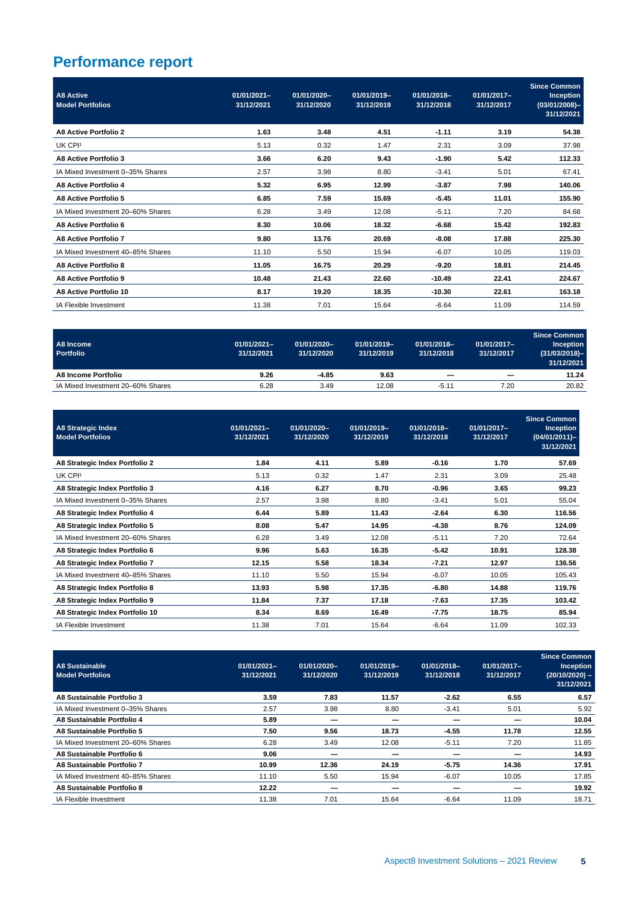## **Performance report**

| <b>A8 Active</b><br><b>Model Portfolios</b> | 01/01/2021-<br>31/12/2021 | 01/01/2020-<br>31/12/2020 | 01/01/2019-<br>31/12/2019 | 01/01/2018-<br>31/12/2018 | 01/01/2017-<br>31/12/2017 | <b>Since Common</b><br>Inception<br>$(03/01/2008)$ -<br>31/12/2021 |
|---------------------------------------------|---------------------------|---------------------------|---------------------------|---------------------------|---------------------------|--------------------------------------------------------------------|
| A8 Active Portfolio 2                       | 1.63                      | 3.48                      | 4.51                      | $-1.11$                   | 3.19                      | 54.38                                                              |
| UK CPI <sup>1</sup>                         | 5.13                      | 0.32                      | 1.47                      | 2.31                      | 3.09                      | 37.98                                                              |
| A8 Active Portfolio 3                       | 3.66                      | 6.20                      | 9.43                      | $-1.90$                   | 5.42                      | 112.33                                                             |
| IA Mixed Investment 0-35% Shares            | 2.57                      | 3.98                      | 8.80                      | $-3.41$                   | 5.01                      | 67.41                                                              |
| A8 Active Portfolio 4                       | 5.32                      | 6.95                      | 12.99                     | $-3.87$                   | 7.98                      | 140.06                                                             |
| A8 Active Portfolio 5                       | 6.85                      | 7.59                      | 15.69                     | $-5.45$                   | 11.01                     | 155.90                                                             |
| IA Mixed Investment 20-60% Shares           | 6.28                      | 3.49                      | 12.08                     | $-5.11$                   | 7.20                      | 84.68                                                              |
| A8 Active Portfolio 6                       | 8.30                      | 10.06                     | 18.32                     | $-6.68$                   | 15.42                     | 192.83                                                             |
| A8 Active Portfolio 7                       | 9.80                      | 13.76                     | 20.69                     | $-8.08$                   | 17.88                     | 225.30                                                             |
| IA Mixed Investment 40-85% Shares           | 11.10                     | 5.50                      | 15.94                     | $-6.07$                   | 10.05                     | 119.03                                                             |
| <b>A8 Active Portfolio 8</b>                | 11.05                     | 16.75                     | 20.29                     | $-9.20$                   | 18.81                     | 214.45                                                             |
| A8 Active Portfolio 9                       | 10.48                     | 21.43                     | 22.60                     | $-10.49$                  | 22.41                     | 224.67                                                             |
| A8 Active Portfolio 10                      | 8.17                      | 19.20                     | 18.35                     | $-10.30$                  | 22.61                     | 163.18                                                             |
| <b>IA Flexible Investment</b>               | 11.38                     | 7.01                      | 15.64                     | $-6.64$                   | 11.09                     | 114.59                                                             |

| A8 Income<br><b>Portfolio</b>     | 01/01/2021-<br>31/12/2021 | 01/01/2020-<br>31/12/2020 | 01/01/2019-<br>31/12/2019 | 01/01/2018-<br>31/12/2018 | 01/01/2017-<br>31/12/2017 | Since Common<br><b>Inception</b><br>$(31/03/2018)$ -<br>31/12/2021 |
|-----------------------------------|---------------------------|---------------------------|---------------------------|---------------------------|---------------------------|--------------------------------------------------------------------|
| A8 Income Portfolio               | 9.26                      | $-4.85$                   | 9.63                      | -                         | -                         | 11.24                                                              |
| IA Mixed Investment 20-60% Shares | 6.28                      | 3.49                      | 12.08                     | $-5.11$                   | 7.20                      | 20.82                                                              |

| <b>A8 Strategic Index</b><br><b>Model Portfolios</b> | $01/01/2021 -$<br>31/12/2021 | 01/01/2020-<br>31/12/2020 | 01/01/2019-<br>31/12/2019 | 01/01/2018-<br>31/12/2018 | 01/01/2017-<br>31/12/2017 | <b>Since Common</b><br><b>Inception</b><br>$(04/01/2011)$ -<br>31/12/2021 |
|------------------------------------------------------|------------------------------|---------------------------|---------------------------|---------------------------|---------------------------|---------------------------------------------------------------------------|
| A8 Strategic Index Portfolio 2                       | 1.84                         | 4.11                      | 5.89                      | $-0.16$                   | 1.70                      | 57.69                                                                     |
| UK CPI <sup>1</sup>                                  | 5.13                         | 0.32                      | 1.47                      | 2.31                      | 3.09                      | 25.48                                                                     |
| A8 Strategic Index Portfolio 3                       | 4.16                         | 6.27                      | 8.70                      | -0.96                     | 3.65                      | 99.23                                                                     |
| IA Mixed Investment 0-35% Shares                     | 2.57                         | 3.98                      | 8.80                      | $-3.41$                   | 5.01                      | 55.04                                                                     |
| A8 Strategic Index Portfolio 4                       | 6.44                         | 5.89                      | 11.43                     | $-2.64$                   | 6.30                      | 116.56                                                                    |
| A8 Strategic Index Portfolio 5                       | 8.08                         | 5.47                      | 14.95                     | $-4.38$                   | 8.76                      | 124.09                                                                    |
| IA Mixed Investment 20-60% Shares                    | 6.28                         | 3.49                      | 12.08                     | $-5.11$                   | 7.20                      | 72.64                                                                     |
| A8 Strategic Index Portfolio 6                       | 9.96                         | 5.63                      | 16.35                     | $-5.42$                   | 10.91                     | 128.38                                                                    |
| A8 Strategic Index Portfolio 7                       | 12.15                        | 5.58                      | 18.34                     | $-7.21$                   | 12.97                     | 136.56                                                                    |
| IA Mixed Investment 40-85% Shares                    | 11.10                        | 5.50                      | 15.94                     | $-6.07$                   | 10.05                     | 105.43                                                                    |
| A8 Strategic Index Portfolio 8                       | 13.93                        | 5.98                      | 17.35                     | $-6.80$                   | 14.88                     | 119.76                                                                    |
| A8 Strategic Index Portfolio 9                       | 11.84                        | 7.37                      | 17.18                     | $-7.63$                   | 17.35                     | 103.42                                                                    |
| A8 Strategic Index Portfolio 10                      | 8.34                         | 8.69                      | 16.49                     | $-7.75$                   | 18.75                     | 85.94                                                                     |
| IA Flexible Investment                               | 11.38                        | 7.01                      | 15.64                     | $-6.64$                   | 11.09                     | 102.33                                                                    |

| <b>A8 Sustainable</b><br><b>Model Portfolios</b> | $01/01/2021 -$<br>31/12/2021 | 01/01/2020-<br>31/12/2020 | 01/01/2019-<br>31/12/2019 | 01/01/2018-<br>31/12/2018 | 01/01/2017-<br>31/12/2017 | <b>Since Common</b><br><b>Inception</b><br>$(20/10/2020) -$<br>31/12/2021 |
|--------------------------------------------------|------------------------------|---------------------------|---------------------------|---------------------------|---------------------------|---------------------------------------------------------------------------|
| A8 Sustainable Portfolio 3                       | 3.59                         | 7.83                      | 11.57                     | $-2.62$                   | 6.55                      | 6.57                                                                      |
| IA Mixed Investment 0-35% Shares                 | 2.57                         | 3.98                      | 8.80                      | $-3.41$                   | 5.01                      | 5.92                                                                      |
| A8 Sustainable Portfolio 4                       | 5.89                         |                           |                           |                           |                           | 10.04                                                                     |
| A8 Sustainable Portfolio 5                       | 7.50                         | 9.56                      | 18.73                     | $-4.55$                   | 11.78                     | 12.55                                                                     |
| IA Mixed Investment 20-60% Shares                | 6.28                         | 3.49                      | 12.08                     | $-5.11$                   | 7.20                      | 11.85                                                                     |
| A8 Sustainable Portfolio 6                       | 9.06                         |                           |                           |                           |                           | 14.93                                                                     |
| A8 Sustainable Portfolio 7                       | 10.99                        | 12.36                     | 24.19                     | $-5.75$                   | 14.36                     | 17.91                                                                     |
| IA Mixed Investment 40-85% Shares                | 11.10                        | 5.50                      | 15.94                     | $-6.07$                   | 10.05                     | 17.85                                                                     |
| A8 Sustainable Portfolio 8                       | 12.22                        |                           |                           |                           |                           | 19.92                                                                     |
| IA Flexible Investment                           | 11.38                        | 7.01                      | 15.64                     | $-6.64$                   | 11.09                     | 18.71                                                                     |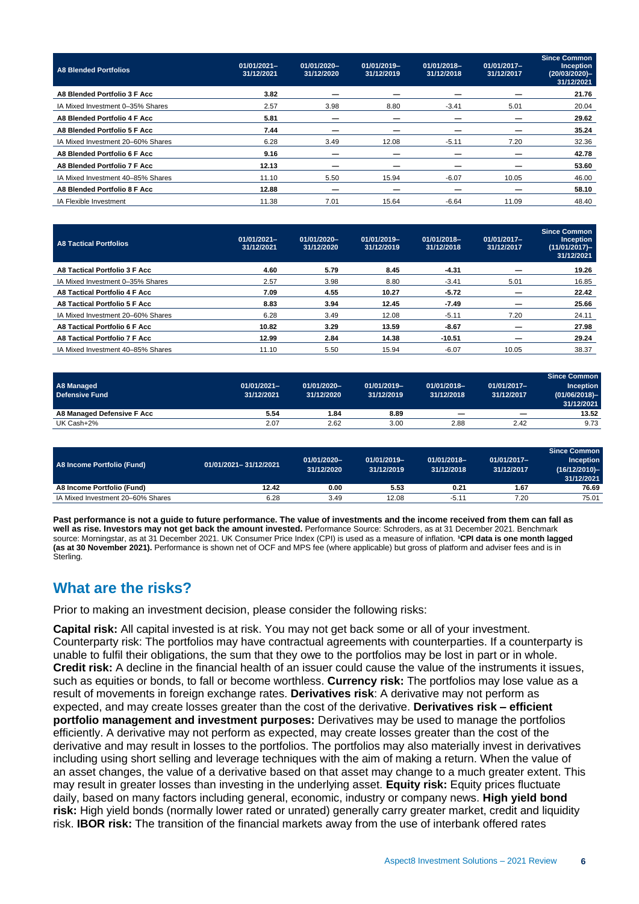| A8 Blended Portfolios             | 01/01/2021-<br>31/12/2021 | 01/01/2020-<br>31/12/2020 | 01/01/2019-<br>31/12/2019 | 01/01/2018-<br>31/12/2018 | 01/01/2017-<br>31/12/2017 | <b>Since Common</b><br>Inception<br>$(20/03/2020)$ -<br>31/12/2021 |
|-----------------------------------|---------------------------|---------------------------|---------------------------|---------------------------|---------------------------|--------------------------------------------------------------------|
| A8 Blended Portfolio 3 F Acc      | 3.82                      |                           |                           |                           |                           | 21.76                                                              |
| IA Mixed Investment 0-35% Shares  | 2.57                      | 3.98                      | 8.80                      | $-3.41$                   | 5.01                      | 20.04                                                              |
| A8 Blended Portfolio 4 F Acc      | 5.81                      |                           |                           |                           |                           | 29.62                                                              |
| A8 Blended Portfolio 5 F Acc      | 7.44                      |                           |                           |                           |                           | 35.24                                                              |
| IA Mixed Investment 20-60% Shares | 6.28                      | 3.49                      | 12.08                     | $-5.11$                   | 7.20                      | 32.36                                                              |
| A8 Blended Portfolio 6 F Acc      | 9.16                      |                           |                           |                           |                           | 42.78                                                              |
| A8 Blended Portfolio 7 F Acc      | 12.13                     |                           |                           |                           |                           | 53.60                                                              |
| IA Mixed Investment 40-85% Shares | 11.10                     | 5.50                      | 15.94                     | $-6.07$                   | 10.05                     | 46.00                                                              |
| A8 Blended Portfolio 8 F Acc      | 12.88                     |                           |                           |                           |                           | 58.10                                                              |
| IA Flexible Investment            | 11.38                     | 7.01                      | 15.64                     | $-6.64$                   | 11.09                     | 48.40                                                              |

| A8 Tactical Portfolios            | 01/01/2021-<br>31/12/2021 | 01/01/2020-<br>31/12/2020 | 01/01/2019-<br>31/12/2019 | 01/01/2018-<br>31/12/2018 | 01/01/2017-<br>31/12/2017 | <b>Since Common</b><br><b>Inception</b><br>$(11/01/2017)$ -<br>31/12/2021 |
|-----------------------------------|---------------------------|---------------------------|---------------------------|---------------------------|---------------------------|---------------------------------------------------------------------------|
| A8 Tactical Portfolio 3 F Acc     | 4.60                      | 5.79                      | 8.45                      | $-4.31$                   |                           | 19.26                                                                     |
| IA Mixed Investment 0-35% Shares  | 2.57                      | 3.98                      | 8.80                      | $-3.41$                   | 5.01                      | 16.85                                                                     |
| A8 Tactical Portfolio 4 F Acc     | 7.09                      | 4.55                      | 10.27                     | $-5.72$                   |                           | 22.42                                                                     |
| A8 Tactical Portfolio 5 F Acc     | 8.83                      | 3.94                      | 12.45                     | $-7.49$                   | _                         | 25.66                                                                     |
| IA Mixed Investment 20-60% Shares | 6.28                      | 3.49                      | 12.08                     | $-5.11$                   | 7.20                      | 24.11                                                                     |
| A8 Tactical Portfolio 6 F Acc     | 10.82                     | 3.29                      | 13.59                     | $-8.67$                   |                           | 27.98                                                                     |
| A8 Tactical Portfolio 7 F Acc     | 12.99                     | 2.84                      | 14.38                     | $-10.51$                  |                           | 29.24                                                                     |
| IA Mixed Investment 40-85% Shares | 11.10                     | 5.50                      | 15.94                     | $-6.07$                   | 10.05                     | 38.37                                                                     |

| A8 Managed<br><b>Defensive Fund</b> | $01/01/2021 -$<br>31/12/2021 | 01/01/2020-<br>31/12/2020 | 01/01/2019-<br>31/12/2019 | 01/01/2018-<br>31/12/2018 | 01/01/2017-<br>31/12/2017 | <b>Since Common</b><br><b>Inception</b><br>$(01/06/2018)$ -<br>31/12/2021 |
|-------------------------------------|------------------------------|---------------------------|---------------------------|---------------------------|---------------------------|---------------------------------------------------------------------------|
| A8 Managed Defensive F Acc          | 5.54                         | 1.84                      | 8.89                      | $\overline{\phantom{0}}$  | -                         | 13.52                                                                     |
| UK Cash+2%                          | 2.07                         | 2.62                      | 3.00                      | 2.88                      | 2.42                      | 9.73                                                                      |

| A8 Income Portfolio (Fund)        | 01/01/2021-31/12/2021 | 01/01/2020-<br>31/12/2020 | 01/01/2019-<br>31/12/2019 | 01/01/2018-<br>31/12/2018 | 01/01/2017-<br>31/12/2017 | Since Common<br><b>Inception</b><br>(16/12/2010)-<br>31/12/2021 |
|-----------------------------------|-----------------------|---------------------------|---------------------------|---------------------------|---------------------------|-----------------------------------------------------------------|
| A8 Income Portfolio (Fund)        | 12.42                 | 0.00                      | 5.53                      | 0.21                      | 1.67                      | 76.69                                                           |
| IA Mixed Investment 20–60% Shares | 6.28                  | 3.49                      | 12.08                     | $-5.11$                   | 7.20                      | 75.01                                                           |

**Past performance is not a guide to future performance. The value of investments and the income received from them can fall as well as rise. Investors may not get back the amount invested.** Performance Source: Schroders, as at 31 December 2021. Benchmark source: Morningstar, as at 31 December 2021. UK Consumer Price Index (CPI) is used as a measure of inflation. <sup>1</sup>CPI data is one month lagged **(as at 30 November 2021).** Performance is shown net of OCF and MPS fee (where applicable) but gross of platform and adviser fees and is in Sterling.

## **What are the risks?**

Prior to making an investment decision, please consider the following risks:

**Capital risk:** All capital invested is at risk. You may not get back some or all of your investment. Counterparty risk: The portfolios may have contractual agreements with counterparties. If a counterparty is unable to fulfil their obligations, the sum that they owe to the portfolios may be lost in part or in whole. **Credit risk:** A decline in the financial health of an issuer could cause the value of the instruments it issues, such as equities or bonds, to fall or become worthless. **Currency risk:** The portfolios may lose value as a result of movements in foreign exchange rates. **Derivatives risk**: A derivative may not perform as expected, and may create losses greater than the cost of the derivative. **Derivatives risk – efficient portfolio management and investment purposes:** Derivatives may be used to manage the portfolios efficiently. A derivative may not perform as expected, may create losses greater than the cost of the derivative and may result in losses to the portfolios. The portfolios may also materially invest in derivatives including using short selling and leverage techniques with the aim of making a return. When the value of an asset changes, the value of a derivative based on that asset may change to a much greater extent. This may result in greater losses than investing in the underlying asset. **Equity risk:** Equity prices fluctuate daily, based on many factors including general, economic, industry or company news. **High yield bond risk:** High yield bonds (normally lower rated or unrated) generally carry greater market, credit and liquidity risk. **IBOR risk:** The transition of the financial markets away from the use of interbank offered rates